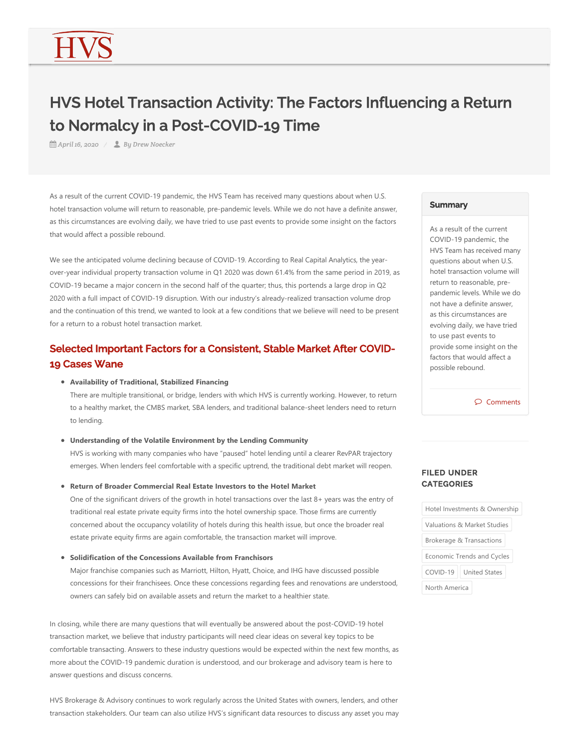# HVS Hotel Transaction Activity: The Factors Influencing a Return to Normalcy in a Post-COVID-19 Time

*April 16, 2020 By Drew Noecker*

As a result of the current COVID-19 pandemic, the HVS Team has received many questions about when U.S. hotel transaction volume will return to reasonable, pre‐pandemic levels. While we do not have a definite answer, as this circumstances are evolving daily, we have tried to use past events to provide some insight on the factors that would affect a possible rebound.

We see the anticipated volume declining because of COVID-19. According to Real Capital Analytics, the yearover‐year individual property transaction volume in Q1 2020 was down 61.4% from the same period in 2019, as COVID‐19 became a major concern in the second half of the quarter; thus, this portends a large drop in Q2 2020 with a full impact of COVID‐19 disruption. With our industry's already‐realized transaction volume drop and the continuation of this trend, we wanted to look at a few conditions that we believe will need to be present for a return to a robust hotel transaction market.

# Selected Important Factors for a Consistent, Stable Market After COVID-19 Cases Wane

#### **Availability of Traditional, Stabilized Financing**

There are multiple transitional, or bridge, lenders with which HVS is currently working. However, to return to a healthy market, the CMBS market, SBA lenders, and traditional balance-sheet lenders need to return to lending.

#### **Understanding of the Volatile Environment by the Lending Community**

HVS is working with many companies who have "paused" hotel lending until a clearer RevPAR trajectory emerges. When lenders feel comfortable with a specific uptrend, the traditional debt market will reopen.

**Return of Broader Commercial Real Estate Investors to the Hotel Market**

One of the significant drivers of the growth in hotel transactions over the last 8+ years was the entry of traditional real estate private equity firms into the hotel ownership space. Those firms are currently concerned about the occupancy volatility of hotels during this health issue, but once the broader real estate private equity firms are again comfortable, the transaction market will improve.

#### **Solidification of the Concessions Available from Franchisors**

Major franchise companies such as Marriott, Hilton, Hyatt, Choice, and IHG have discussed possible concessions for their franchisees. Once these concessions regarding fees and renovations are understood, owners can safely bid on available assets and return the market to a healthier state.

In closing, while there are many questions that will eventually be answered about the post‐COVID‐19 hotel transaction market, we believe that industry participants will need clear ideas on several key topics to be comfortable transacting. Answers to these industry questions would be expected within the next few months, as more about the COVID‐19 pandemic duration is understood, and our brokerage and advisory team is here to answer questions and discuss concerns.

HVS Brokerage & Advisory continues to work regularly across the United States with owners, lenders, and other transaction stakeholders. Our team can also utilize HVS's significant data resources to discuss any asset you may

### **Summary**

As a result of the current COVID‐19 pandemic, the HVS Team has received many questions about when U.S. hotel transaction volume will return to reasonable, pre‐ pandemic levels. While we do not have a definite answer, as this circumstances are evolving daily, we have tried to use past events to provide some insight on the factors that would affect a possible rebound.

 $\wp$  Comments

## FILED UNDER **CATEGORIES**

| Hotel Investments & Ownership       |                      |
|-------------------------------------|----------------------|
| Valuations & Market Studies         |                      |
| <b>Brokerage &amp; Transactions</b> |                      |
| Economic Trends and Cycles          |                      |
| COVID-19                            | <b>United States</b> |
| North America                       |                      |